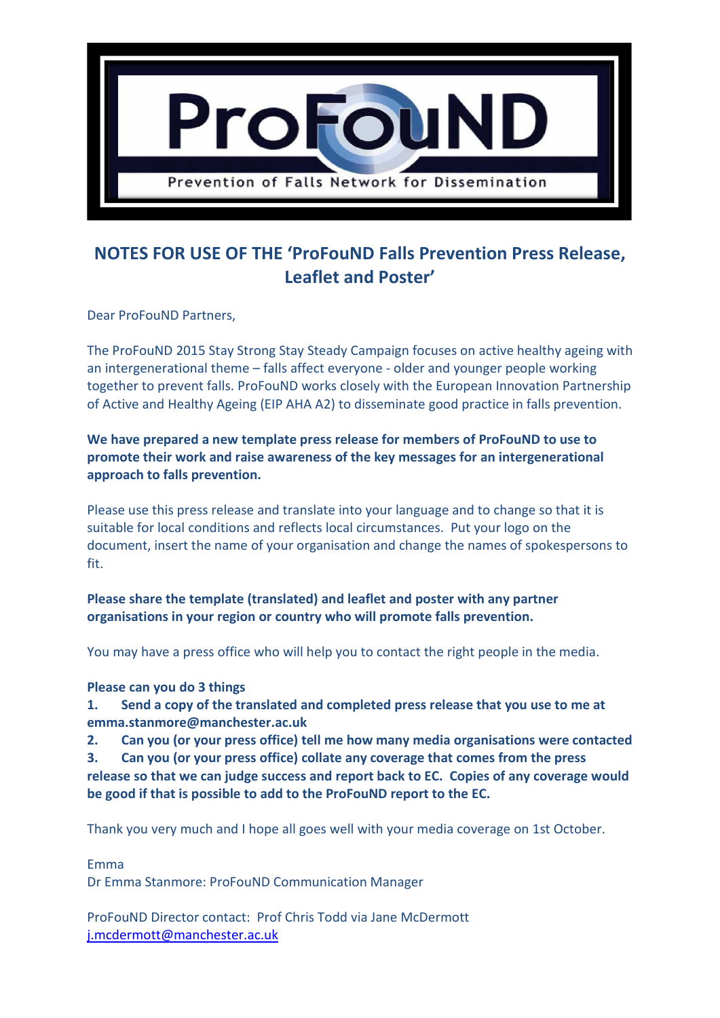

## **NOTES FOR USE OF THE 'ProFouND Falls Prevention Press Release, Leaflet and Poster'**

Dear ProFouND Partners,

The ProFouND 2015 Stay Strong Stay Steady Campaign focuses on active healthy ageing with an intergenerational theme – falls affect everyone - older and younger people working together to prevent falls. ProFouND works closely with the European Innovation Partnership of Active and Healthy Ageing (EIP AHA A2) to disseminate good practice in falls prevention.

## **We have prepared a new template press release for members of ProFouND to use to promote their work and raise awareness of the key messages for an intergenerational approach to falls prevention.**

Please use this press release and translate into your language and to change so that it is suitable for local conditions and reflects local circumstances. Put your logo on the document, insert the name of your organisation and change the names of spokespersons to fit.

**Please share the template (translated) and leaflet and poster with any partner organisations in your region or country who will promote falls prevention.**

You may have a press office who will help you to contact the right people in the media.

## **Please can you do 3 things**

**1. Send a copy of the translated and completed press release that you use to me at emma.stanmore@manchester.ac.uk**

**2. Can you (or your press office) tell me how many media organisations were contacted**

**3. Can you (or your press office) collate any coverage that comes from the press** 

**release so that we can judge success and report back to EC. Copies of any coverage would be good if that is possible to add to the ProFouND report to the EC.**

Thank you very much and I hope all goes well with your media coverage on 1st October.

Emma

Dr Emma Stanmore: ProFouND Communication Manager

ProFouND Director contact: Prof Chris Todd via Jane McDermott [j.mcdermott@manchester.ac.uk](mailto:j.mcdermott@manchester.ac.uk)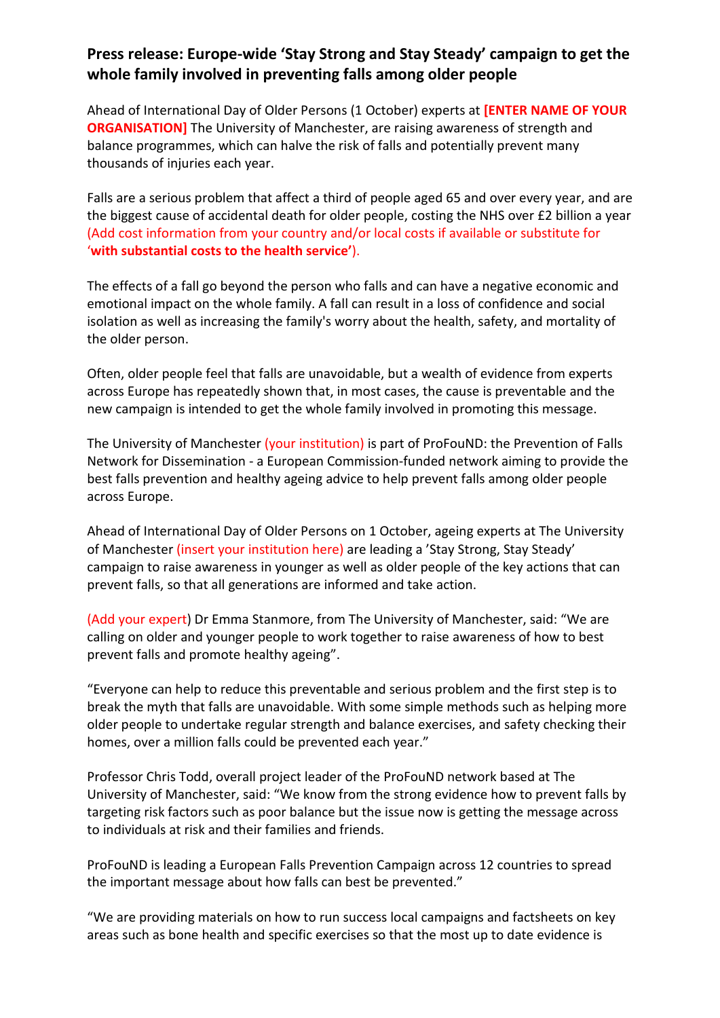## **Press release: Europe-wide 'Stay Strong and Stay Steady' campaign to get the whole family involved in preventing falls among older people**

Ahead of International Day of Older Persons (1 October) experts at **[ENTER NAME OF YOUR ORGANISATION]** The University of Manchester, are raising awareness of strength and balance programmes, which can halve the risk of falls and potentially prevent many thousands of injuries each year.

Falls are a serious problem that affect a third of people aged 65 and over every year, and are the biggest cause of accidental death for older people, costing the NHS over £2 billion a year (Add cost information from your country and/or local costs if available or substitute for '**with substantial costs to the health service'**).

The effects of a fall go beyond the person who falls and can have a negative economic and emotional impact on the whole family. A fall can result in a loss of confidence and social isolation as well as increasing the family's worry about the health, safety, and mortality of the older person.

Often, older people feel that falls are unavoidable, but a wealth of evidence from experts across Europe has repeatedly shown that, in most cases, the cause is preventable and the new campaign is intended to get the whole family involved in promoting this message.

The University of Manchester (your institution) is part of ProFouND: the Prevention of Falls Network for Dissemination - a European Commission-funded network aiming to provide the best falls prevention and healthy ageing advice to help prevent falls among older people across Europe.

Ahead of International Day of Older Persons on 1 October, ageing experts at The University of Manchester (insert your institution here) are leading a 'Stay Strong, Stay Steady' campaign to raise awareness in younger as well as older people of the key actions that can prevent falls, so that all generations are informed and take action.

(Add your expert) Dr Emma Stanmore, from The University of Manchester, said: "We are calling on older and younger people to work together to raise awareness of how to best prevent falls and promote healthy ageing".

"Everyone can help to reduce this preventable and serious problem and the first step is to break the myth that falls are unavoidable. With some simple methods such as helping more older people to undertake regular strength and balance exercises, and safety checking their homes, over a million falls could be prevented each year."

[Professor Chris Todd,](http://directory.manchester.ac.uk/advanced.php?dn=cn%3DChris+Todd%2Bumanroleid%3D9203%2Cou%3DNursing+and+Midwifery%2Cou%3DSchool+of+Nursing%5C%2C+Midwifery+%26+Social+Work%2Cou%3DFaculty+of+Medical+%26+Human+Sciences%2Cou%3DPeople%2Co%3DUniversity+of+Manchester%2Cc%3DGB&employeeType=STAFF&action=read&form_input=Submit) overall project leader of the ProFouND network based at The University of Manchester, said: "We know from the strong evidence how to prevent falls by targeting risk factors such as poor balance but the issue now is getting the message across to individuals at risk and their families and friends.

ProFouND is leading a European Falls Prevention Campaign across 12 countries to spread the important message about how falls can best be prevented."

"We are providing materials on how to run success local campaigns and factsheets on key areas such as bone health and specific exercises so that the most up to date evidence is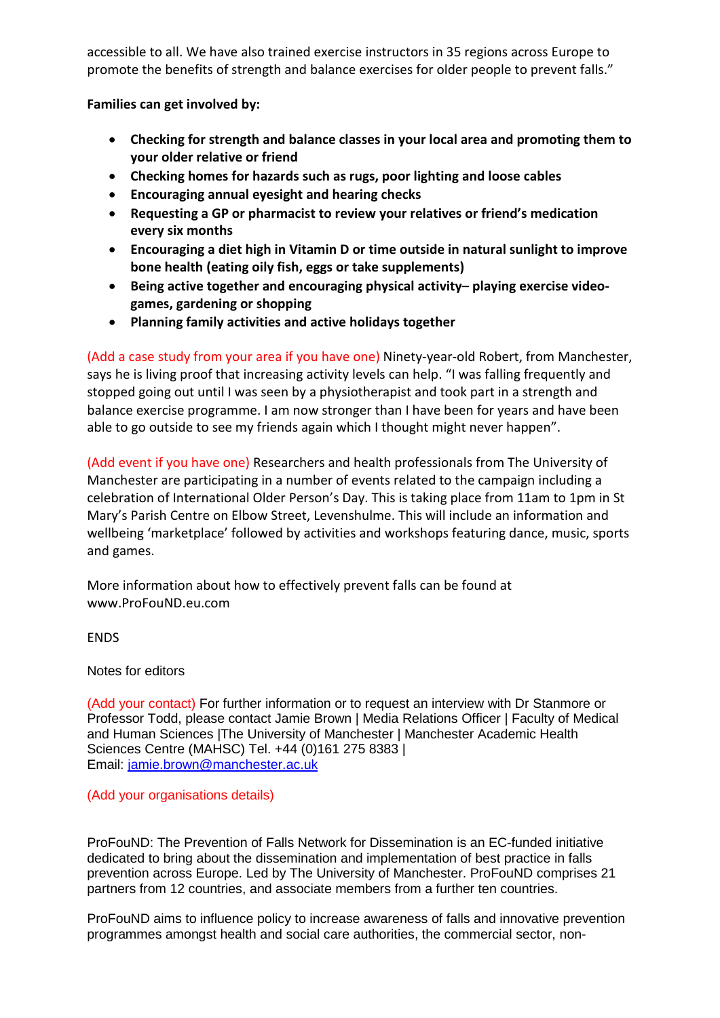accessible to all. We have also trained exercise instructors in 35 regions across Europe to promote the benefits of strength and balance exercises for older people to prevent falls."

**Families can get involved by:**

- **Checking for strength and balance classes in your local area and promoting them to your older relative or friend**
- **Checking homes for hazards such as rugs, poor lighting and loose cables**
- **Encouraging annual eyesight and hearing checks**
- **Requesting a GP or pharmacist to review your relatives or friend's medication every six months**
- **Encouraging a diet high in Vitamin D or time outside in natural sunlight to improve bone health (eating oily fish, eggs or take supplements)**
- **Being active together and encouraging physical activity– playing exercise videogames, gardening or shopping**
- **Planning family activities and active holidays together**

(Add a case study from your area if you have one) Ninety-year-old Robert, from Manchester, says he is living proof that increasing activity levels can help. "I was falling frequently and stopped going out until I was seen by a physiotherapist and took part in a strength and balance exercise programme. I am now stronger than I have been for years and have been able to go outside to see my friends again which I thought might never happen".

(Add event if you have one) Researchers and health professionals from The University of Manchester are participating in a number of events related to the campaign including a celebration of International Older Person's Day. This is taking place from 11am to 1pm in St Mary's Parish Centre on Elbow Street, Levenshulme. This will include an information and wellbeing 'marketplace' followed by activities and workshops featuring dance, music, sports and games.

More information about how to effectively prevent falls can be found at www.ProFouND.eu.com

ENDS

Notes for editors

(Add your contact) For further information or to request an interview with Dr Stanmore or Professor Todd, please contact Jamie Brown | Media Relations Officer | Faculty of Medical and Human Sciences |The University of Manchester | Manchester Academic Health Sciences Centre (MAHSC) Tel. +44 (0)161 275 8383 | Email: [jamie.brown@manchester.ac.uk](mailto:jamie.brown@manchester.ac.uk)

(Add your organisations details)

[ProFouND: The Prevention of Falls Network for Dissemination](http://www.profound.eu.com/) is an EC-funded initiative dedicated to bring about the dissemination and implementation of best practice in falls prevention across Europe. Led by The University of Manchester. ProFouND comprises 21 partners from 12 countries, and associate members from a further ten countries.

ProFouND aims to influence policy to increase awareness of falls and innovative prevention programmes amongst health and social care authorities, the commercial sector, non